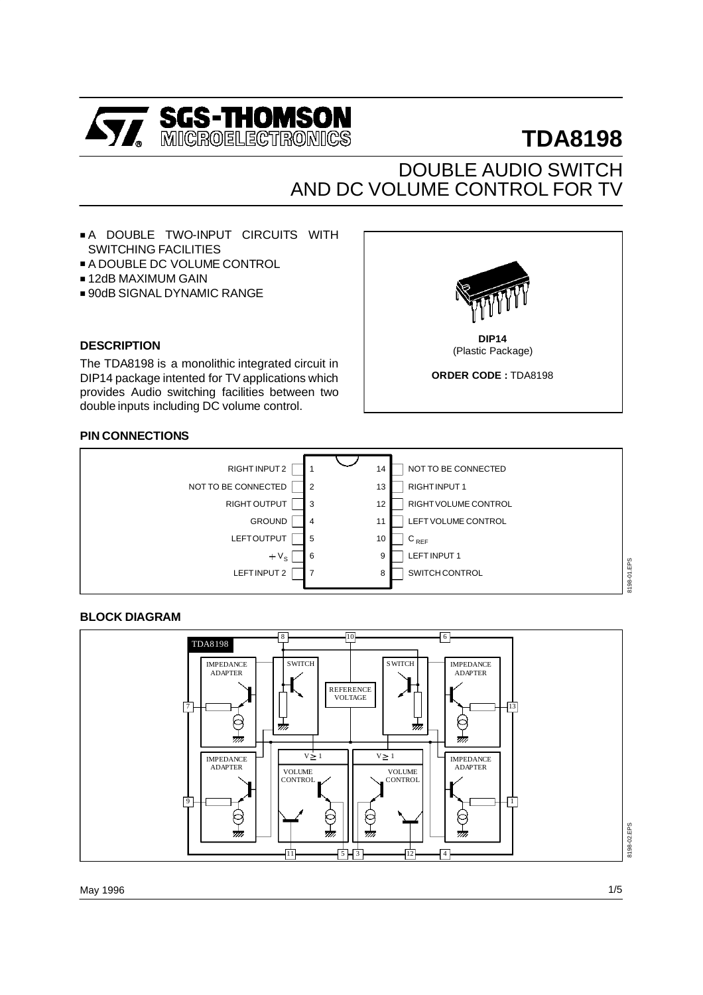

# **TDA8198**

# DOUBLE AUDIO SWITCH AND DC VOLUME CONTROL FOR TV

**DIP14** (Plastic Package) **ORDER CODE :** TDA8198

- A DOUBLE TWO-INPUT CIRCUITS WITH SWITCHING FACILITIES
- A DOUBLE DC VOLUME CONTROL
- 12dB MAXIMUM GAIN
- 90dB SIGNAL DYNAMIC RANGE

#### **DESCRIPTION**

The TDA8198 is a monolithic integrated circuit in DIP14 package intented for TV applications which provides Audio switching facilities between two double inputs including DC volume control.

## **PIN CONNECTIONS**



#### **BLOCK DIAGRAM**



May 1996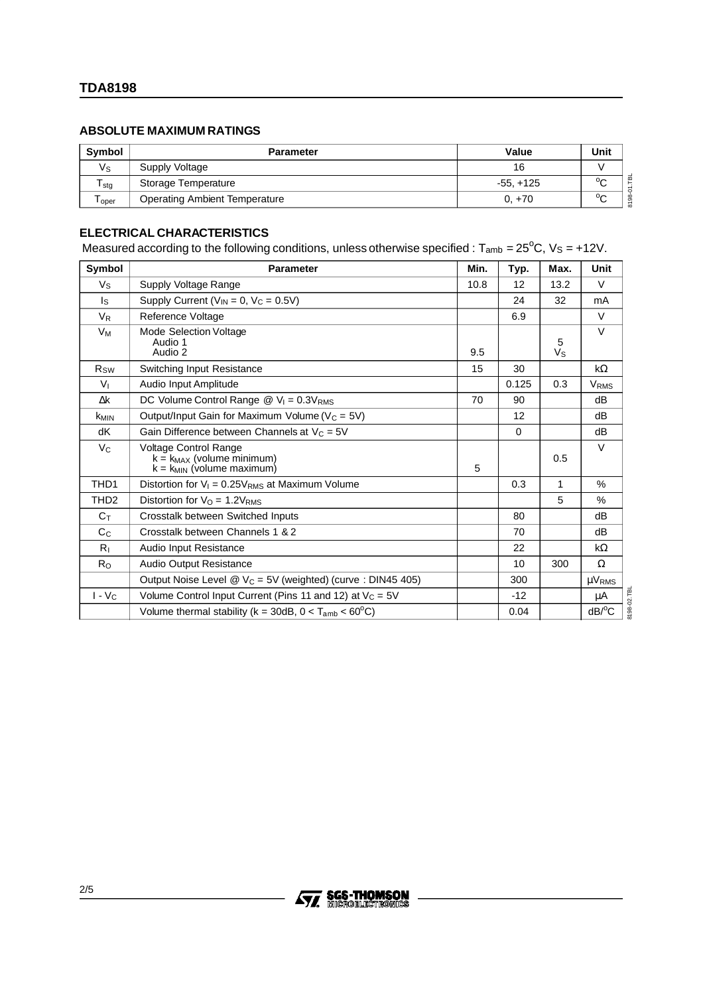# **ABSOLUTE MAXIMUM RATINGS**

| Symbol      | <b>Parameter</b>                     | Value        | Unit    |
|-------------|--------------------------------------|--------------|---------|
| $V_{\rm S}$ | Supply Voltage                       | 16           |         |
| l stg       | Storage Temperature                  | $-55. + 125$ | $\sim$  |
| l oper      | <b>Operating Ambient Temperature</b> | $0. +70$     | $0\sim$ |

# **ELECTRICAL CHARACTERISTICS**

Measured according to the following conditions, unless otherwise specified :  $T_{amb} = 25^{\circ}$ C, Vs = +12V.

| Symbol                 | <b>Parameter</b>                                                                          | Min. | Typ.  | Max.             | Unit                   |
|------------------------|-------------------------------------------------------------------------------------------|------|-------|------------------|------------------------|
| Vs                     | Supply Voltage Range                                                                      | 10.8 | 12    | 13.2             | V                      |
| ls.                    | Supply Current ( $V_{IN} = 0$ , $V_C = 0.5V$ )                                            |      | 24    | 32               | mA                     |
| $V_R$                  | Reference Voltage                                                                         |      | 6.9   |                  | $\vee$                 |
| Vм                     | Mode Selection Voltage<br>Audio 1<br>Audio 2                                              | 9.5  |       | 5<br>$V_{\rm S}$ | $\vee$                 |
| <b>R</b> <sub>sw</sub> | Switching Input Resistance                                                                | 15   | 30    |                  | $k\Omega$              |
| $V_{I}$                | Audio Input Amplitude                                                                     |      | 0.125 | 0.3              | V <sub>RMS</sub>       |
| Δk                     | DC Volume Control Range $\omega$ V <sub>I</sub> = 0.3V <sub>RMS</sub>                     | 70   | 90    |                  | dB                     |
| k <sub>MIN</sub>       | Output/Input Gain for Maximum Volume (V <sub>C</sub> = 5V)                                |      | 12    |                  | dB                     |
| dK                     | Gain Difference between Channels at $V_c = 5V$                                            |      | 0     |                  | dB                     |
| $V_C$                  | Voltage Control Range<br>$k = k_{MAX}$ (volume minimum)<br>$k = k_{MIN}$ (volume maximum) | 5    |       | 0.5              | V                      |
| TH <sub>D</sub> 1      | Distortion for $V_1 = 0.25V_{RMS}$ at Maximum Volume                                      |      | 0.3   | 1                | $\frac{0}{0}$          |
| TH <sub>D2</sub>       | Distortion for $V_O = 1.2V_{RMS}$                                                         |      |       | 5                | $\%$                   |
| $C_T$                  | Crosstalk between Switched Inputs                                                         |      | 80    |                  | dB                     |
| C <sub>C</sub>         | Crosstalk between Channels 1 & 2                                                          |      | 70    |                  | dB                     |
| $R_{\perp}$            | Audio Input Resistance                                                                    |      | 22    |                  | $k\Omega$              |
| $R_{\rm O}$            | Audio Output Resistance                                                                   |      | 10    | 300              | $\Omega$               |
|                        | Output Noise Level $\textcircled{2}$ V <sub>C</sub> = 5V (weighted) (curve : DIN45 405)   |      | 300   |                  | $\mu$ V <sub>RMS</sub> |
| $I - V_C$              | Volume Control Input Current (Pins 11 and 12) at $V_c = 5V$                               |      | $-12$ |                  | μA                     |
|                        | Volume thermal stability ( $k = 30dB$ , $0 < T_{amb} < 60^{\circ}C$ )                     |      | 0.04  |                  | $dB$ <sup>o</sup> $C$  |

8198-02.TBL 8198-02.TBL

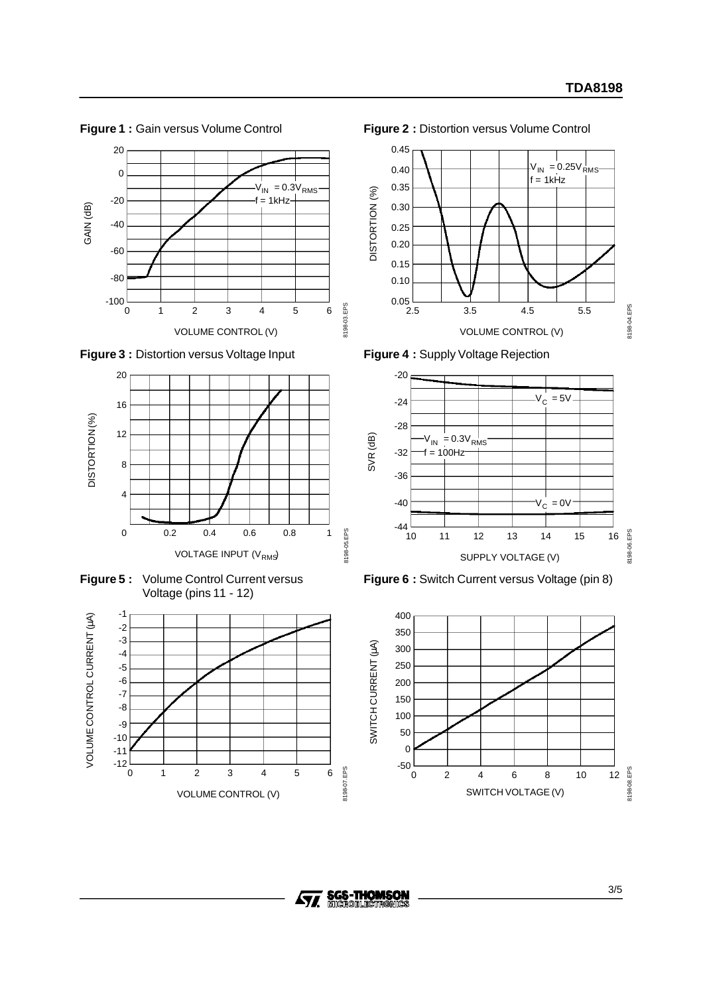

**Figure 3 :** Distortion versus Voltage Input



**Figure 5 :** Volume Control Current versus Voltage (pins 11 - 12)



**Figure 2 :** Distortion versus Volume Control



**Figure 4 :** Supply Voltage Rejection



**Figure 6 :** Switch Current versus Voltage (pin 8)



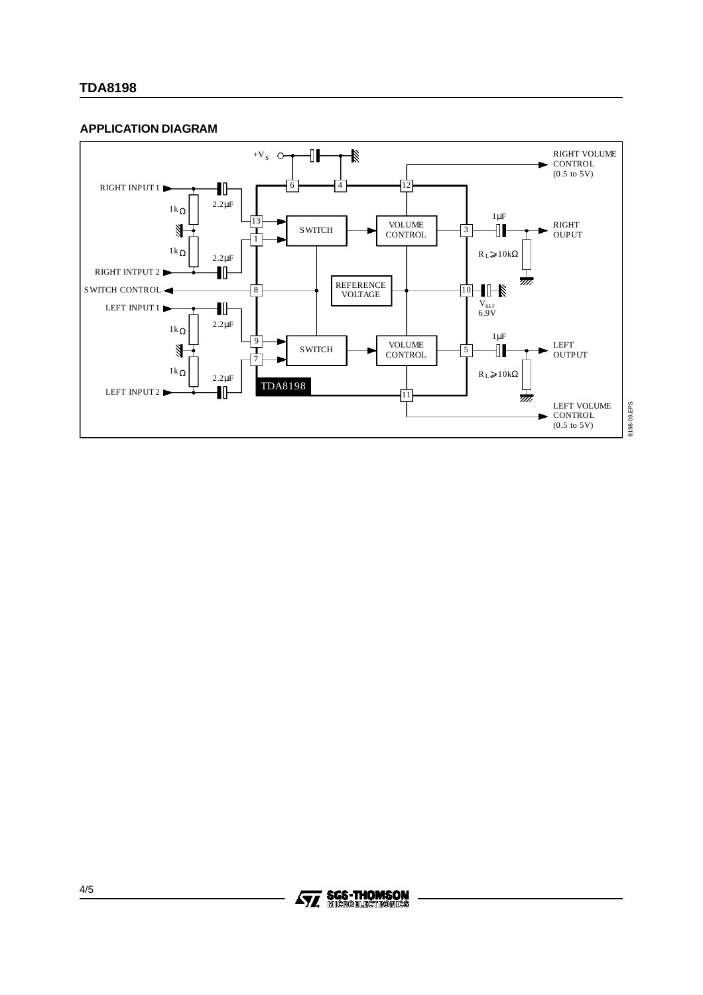# **TDA8198**

## **APPLICATION DIAGRAM**